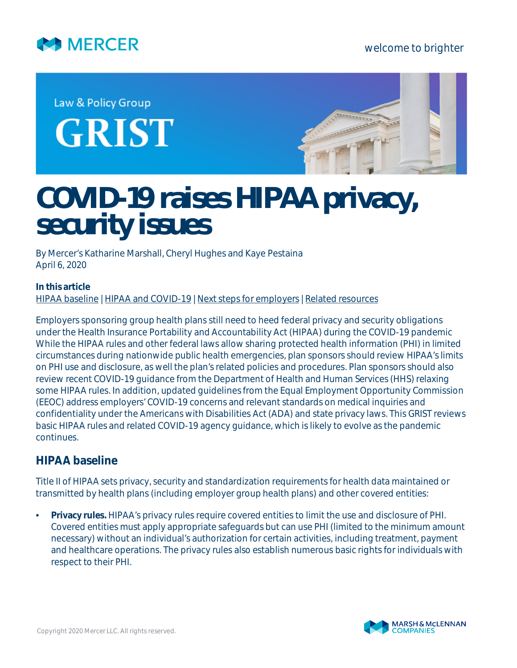

## welcome to brighter

Law & Policy Group **GRIST** 



# **COVID-19 raises HIPAA privacy, security issues**

*By Mercer's Katharine Marshall, Cheryl Hughes and Kaye Pestaina April 6, 2020*

#### **In this article** [HIPAA baseline](#page-0-0) | [HIPAA and COVID-19](#page-3-0) | [Next steps for employers](#page-6-0) | [Related resources](#page-7-0)

Employers sponsoring group health plans still need to heed federal privacy and security obligations under the Health Insurance Portability and Accountability Act (HIPAA) during the COVID-19 pandemic While the HIPAA rules and other federal laws allow sharing protected health information (PHI) in limited circumstances during nationwide public health emergencies, plan sponsors should review HIPAA's limits on PHI use and disclosure, as well the plan's related policies and procedures. Plan sponsors should also review recent COVID-19 guidance from the Department of Health and Human Services (HHS) relaxing some HIPAA rules. In addition, updated guidelines from the Equal Employment Opportunity Commission (EEOC) address employers' COVID-19 concerns and relevant standards on medical inquiries and confidentiality under the Americans with Disabilities Act (ADA) and state privacy laws. This GRIST reviews basic HIPAA rules and related COVID-19 agency guidance, which is likely to evolve as the pandemic continues.

# <span id="page-0-0"></span>**HIPAA baseline**

Title II of HIPAA sets privacy, security and standardization requirements for health data maintained or transmitted by health plans (including employer group health plans) and other covered entities:

• **Privacy rules.** HIPAA's privacy rules require covered entities to limit the use and disclosure of PHI. Covered entities must apply appropriate safeguards but can use PHI (limited to the minimum amount necessary) without an individual's authorization for certain activities, including treatment, payment and healthcare operations. The privacy rules also establish numerous basic rights for individuals with respect to their PHI.

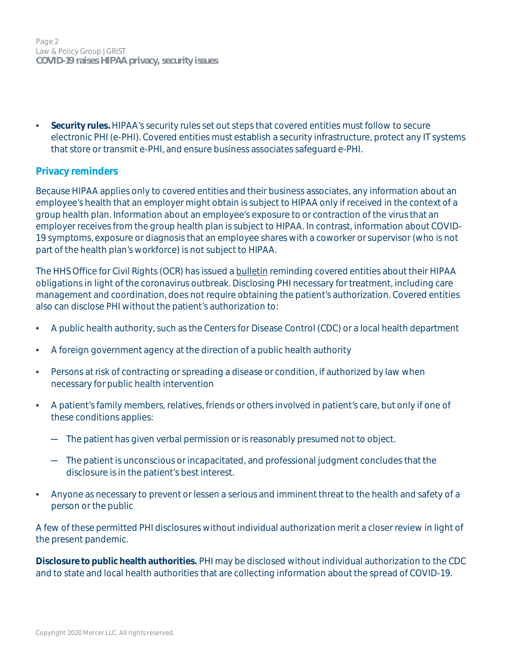Page 2 Law & Policy Group | GRIST **COVID-19 raises HIPAA privacy, security issues**

• **Security rules.**HIPAA's security rules set out steps that covered entities must follow to secure electronic PHI (e-PHI). Covered entities must establish a security infrastructure, protect any IT systems that store or transmit e-PHI, and ensure business associates safeguard e-PHI.

#### **Privacy reminders**

Because HIPAA applies only to covered entities and their business associates, any information about an employee's health that an employer might obtain is subject to HIPAA only if received in the context of a group health plan. Information about an employee's exposure to or contraction of the virus that an employer receives from the group health plan is subject to HIPAA. In contrast, information about COVID-19 symptoms, exposure or diagnosis that an employee shares with a coworker or supervisor (who is not part of the health plan's workforce) is not subject to HIPAA.

The HHS Office for Civil Rights (OCR) has issued a **[bulletin](https://list.nih.gov/cgi-bin/wa.exe?A3=ind2002&L=OCR-PRIVACY-LIST&E=quoted-printable&P=26304&B=--_000_MN2PR09MB5273A50684C625B2F8659797E5000MN2PR09MB5273namp_&T=text%2Fhtml;%20charset=iso-8859-1&XSS=3&header=1)** reminding covered entities about their HIPAA obligations in light of the coronavirus outbreak. Disclosing PHI necessary for treatment, including care management and coordination, does not require obtaining the patient's authorization. Covered entities also can disclose PHI without the patient's authorization to:

- A public health authority, such as the Centers for Disease Control (CDC) or a local health department
- A foreign government agency at the direction of a public health authority
- Persons at risk of contracting or spreading a disease or condition, if authorized by law when necessary for public health intervention
- A patient's family members, relatives, friends or others involved in patient's care, but only if one of these conditions applies:
	- ─ The patient has given verbal permission or is reasonably presumed not to object.
	- ─ The patient is unconscious or incapacitated, and professional judgment concludes that the disclosure is in the patient's best interest.
- Anyone as necessary to prevent or lessen a serious and imminent threat to the health and safety of a person or the public

A few of these permitted PHI disclosures without individual authorization merit a closer review in light of the present pandemic.

**Disclosure to public health authorities.** PHI may be disclosed without individual authorization to the CDC and to state and local health authorities that are collecting information about the spread of COVID-19.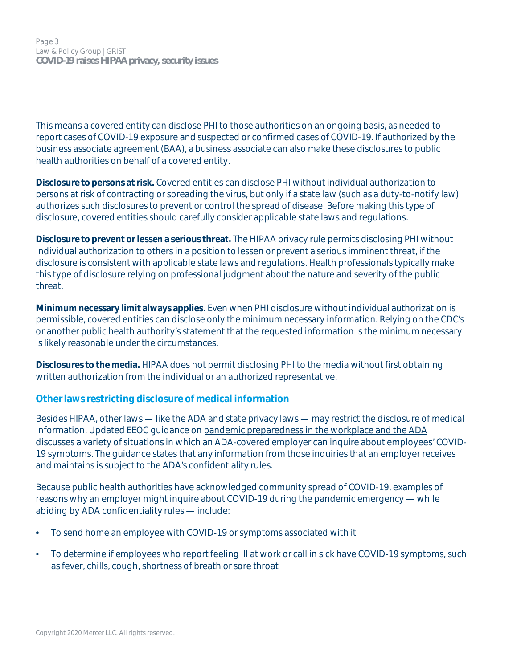This means a covered entity can disclose PHI to those authorities on an ongoing basis, as needed to report cases of COVID-19 exposure and suspected or confirmed cases of COVID-19. If authorized by the business associate agreement (BAA), a business associate can also make these disclosures to public health authorities on behalf of a covered entity.

**Disclosure to persons at risk.** Covered entities can disclose PHI without individual authorization to persons at risk of contracting or spreading the virus, but only if a state law (such as a duty-to-notify law) authorizes such disclosures to prevent or control the spread of disease. Before making this type of disclosure, covered entities should carefully consider applicable state laws and regulations.

**Disclosure to prevent or lessen a serious threat.** The HIPAA privacy rule permits disclosing PHI without individual authorization to others in a position to lessen or prevent a serious imminent threat, if the disclosure is consistent with applicable state laws and regulations. Health professionals typically make this type of disclosure relying on professional judgment about the nature and severity of the public threat.

**Minimum necessary limit always applies.** Even when PHI disclosure without individual authorization is permissible, covered entities can disclose only the minimum necessary information. Relying on the CDC's or another public health authority's statement that the requested information is the minimum necessary is likely reasonable under the circumstances.

**Disclosures to the media.** HIPAA does not permit disclosing PHI to the media without first obtaining written authorization from the individual or an authorized representative.

## **Other laws restricting disclosure of medical information**

Besides HIPAA, other laws — like the ADA and state privacy laws — may restrict the disclosure of medical information. Updated EEOC guidance on [pandemic preparedness in the workplace and the ADA](https://www.eeoc.gov/facts/pandemic_flu.html#q6) discusses a variety of situations in which an ADA-covered employer can inquire about employees' COVID-19 symptoms. The guidance states that any information from those inquiries that an employer receives and maintains is subject to the ADA's confidentiality rules.

Because public health authorities have acknowledged community spread of COVID-19, examples of reasons why an employer might inquire about COVID-19 during the pandemic emergency — while abiding by ADA confidentiality rules — include:

- To send home an employee with COVID-19 or symptoms associated with it
- To determine if employees who report feeling ill at work or call in sick have COVID-19 symptoms, such as fever, chills, cough, shortness of breath or sore throat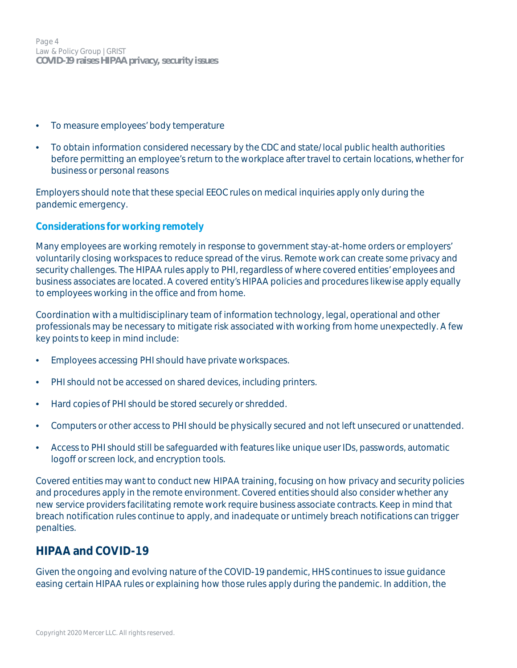Page 4 Law & Policy Group | GRIST **COVID-19 raises HIPAA privacy, security issues**

- To measure employees' body temperature
- To obtain information considered necessary by the CDC and state/local public health authorities before permitting an employee's return to the workplace after travel to certain locations, whether for business or personal reasons

Employers should note that these special EEOC rules on medical inquiries apply only during the pandemic emergency.

#### **Considerations for working remotely**

Many employees are working remotely in response to government stay-at-home orders or employers' voluntarily closing workspaces to reduce spread of the virus. Remote work can create some privacy and security challenges. The HIPAA rules apply to PHI, regardless of where covered entities' employees and business associates are located. A covered entity's HIPAA policies and procedures likewise apply equally to employees working in the office and from home.

Coordination with a multidisciplinary team of information technology, legal, operational and other professionals may be necessary to mitigate risk associated with working from home unexpectedly. A few key points to keep in mind include:

- Employees accessing PHI should have private workspaces.
- PHI should not be accessed on shared devices, including printers.
- Hard copies of PHI should be stored securely or shredded.
- Computers or other access to PHI should be physically secured and not left unsecured or unattended.
- Access to PHI should still be safeguarded with features like unique user IDs, passwords, automatic logoff or screen lock, and encryption tools.

Covered entities may want to conduct new HIPAA training, focusing on how privacy and security policies and procedures apply in the remote environment. Covered entities should also consider whether any new service providers facilitating remote work require business associate contracts. Keep in mind that breach notification rules continue to apply, and inadequate or untimely breach notifications can trigger penalties.

# <span id="page-3-0"></span>**HIPAA and COVID-19**

Given the ongoing and evolving nature of the COVID-19 pandemic, HHS continues to issue guidance easing certain HIPAA rules or explaining how those rules apply during the pandemic. In addition, the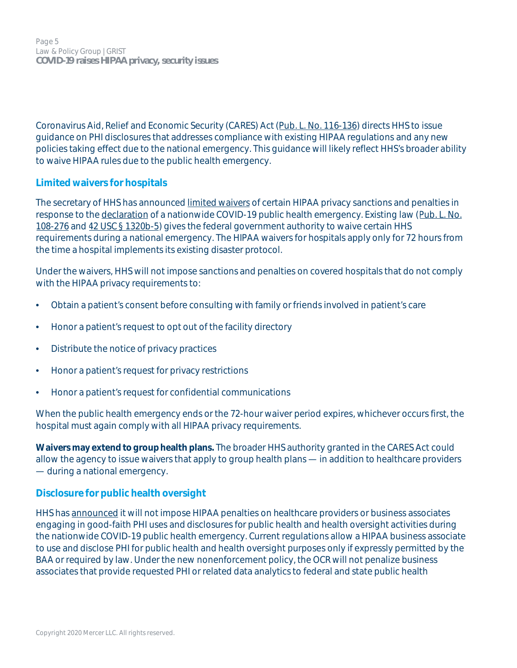Page 5 Law & Policy Group | GRIST **COVID-19 raises HIPAA privacy, security issues**

Coronavirus Aid, Relief and Economic Security (CARES) Act ([Pub. L. No. 116-136\)](https://www.congress.gov/116/bills/hr748/BILLS-116hr748enr.pdf) directs HHS to issue guidance on PHI disclosures that addresses compliance with existing HIPAA regulations and any new policies taking effect due to the national emergency. This guidance will likely reflect HHS's broader ability to waive HIPAA rules due to the public health emergency.

#### **Limited waivers for hospitals**

The secretary of HHS has announced [limited waivers](https://www.hhs.gov/sites/default/files/hipaa-and-covid-19-limited-hipaa-waiver-bulletin-508.pdf) of certain HIPAA privacy sanctions and penalties in response to the [declaration](https://www.phe.gov/emergency/news/healthactions/phe/Pages/2019-nCoV.aspx) of a nationwide COVID-19 public health emergency. Existing law ([Pub. L. No.](https://www.govinfo.gov/content/pkg/PLAW-108publ276/pdf/PLAW-108publ276.pdf) [108-276](https://www.govinfo.gov/content/pkg/PLAW-108publ276/pdf/PLAW-108publ276.pdf) and [42 USC § 1320b-5](https://uscode.house.gov/view.xhtml?req=granuleid:USC-prelim-title42-section1320b-5&num=0&edition=prelim)) gives the federal government authority to waive certain HHS requirements during a national emergency. The HIPAA waivers for hospitals apply only for 72 hours from the time a hospital implements its existing disaster protocol.

Under the waivers, HHS will not impose sanctions and penalties on covered hospitals that do not comply with the HIPAA privacy requirements to:

- Obtain a patient's consent before consulting with family or friends involved in patient's care
- Honor a patient's request to opt out of the facility directory
- Distribute the notice of privacy practices
- Honor a patient's request for privacy restrictions
- Honor a patient's request for confidential communications

When the public health emergency ends or the 72-hour waiver period expires, whichever occurs first, the hospital must again comply with all HIPAA privacy requirements.

**Waivers may extend to group health plans.** The broader HHS authority granted in the CARES Act could allow the agency to issue waivers that apply to group health plans — in addition to healthcare providers — during a national emergency.

#### **Disclosure for public health oversight**

HHS has [announced](https://www.hhs.gov/sites/default/files/notification-enforcement-discretion-hipaa.pdf) it will not impose HIPAA penalties on healthcare providers or business associates engaging in good-faith PHI uses and disclosures for public health and health oversight activities during the nationwide COVID-19 public health emergency. Current regulations allow a HIPAA business associate to use and disclose PHI for public health and health oversight purposes only if expressly permitted by the BAA or required by law. Under the new nonenforcement policy, the OCR will not penalize business associates that provide requested PHI or related data analytics to federal and state public health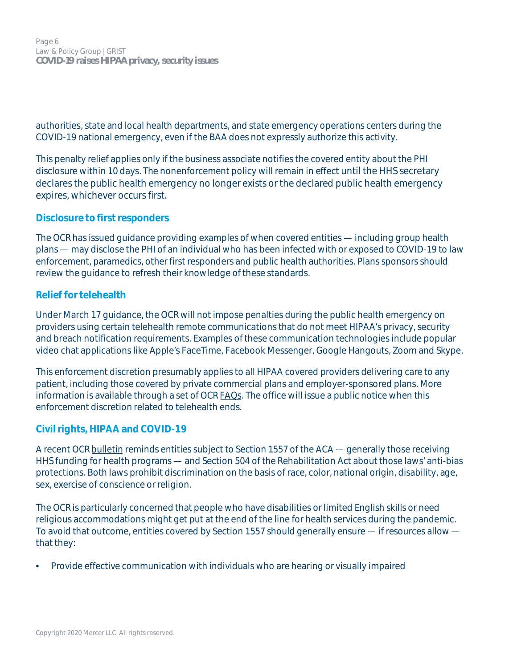Page 6 Law & Policy Group | GRIST **COVID-19 raises HIPAA privacy, security issues**

authorities, state and local health departments, and state emergency operations centers during the COVID-19 national emergency, even if the BAA does not expressly authorize this activity.

This penalty relief applies only if the business associate notifies the covered entity about the PHI disclosure within 10 days. The nonenforcement policy will remain in effect until the HHS secretary declares the public health emergency no longer exists or the declared public health emergency expires, whichever occurs first.

#### **Disclosure to first responders**

The OCR has issued [guidance](https://www.hhs.gov/sites/default/files/covid-19-hipaa-and-first-responders-508.pdf) providing examples of when covered entities — including group health plans — may disclose the PHI of an individual who has been infected with or exposed to COVID-19 to law enforcement, paramedics, other first responders and public health authorities. Plans sponsors should review the guidance to refresh their knowledge of these standards.

#### **Relief for telehealth**

Under March 17 [guidance](https://www.hhs.gov/hipaa/for-professionals/special-topics/emergency-preparedness/notification-enforcement-discretion-telehealth/index.html), the OCR will not impose penalties during the public health emergency on providers using certain telehealth remote communications that do not meet HIPAA's privacy, security and breach notification requirements. Examples of these communication technologies include popular video chat applications like Apple's FaceTime, Facebook Messenger, Google Hangouts, Zoom and Skype.

This enforcement discretion presumably applies to all HIPAA covered providers delivering care to any patient, including those covered by private commercial plans and employer-sponsored plans. More information is available through a set of OCR [FAQs.](https://www.hhs.gov/sites/default/files/telehealth-faqs-508.pdf) The office will issue a public notice when this enforcement discretion related to telehealth ends.

## **Civil rights, HIPAA and COVID-19**

A recent OCR [bulletin](https://www.hhs.gov/sites/default/files/ocr-bulletin-3-28-20.pdf) reminds entities subject to Section 1557 of the ACA — generally those receiving HHS funding for health programs — and Section 504 of the Rehabilitation Act about those laws' anti-bias protections. Both laws prohibit discrimination on the basis of race, color, national origin, disability, age, sex, exercise of conscience or religion.

The OCR is particularly concerned that people who have disabilities or limited English skills or need religious accommodations might get put at the end of the line for health services during the pandemic. To avoid that outcome, entities covered by Section 1557 should generally ensure — if resources allow that they:

• Provide effective communication with individuals who are hearing or visually impaired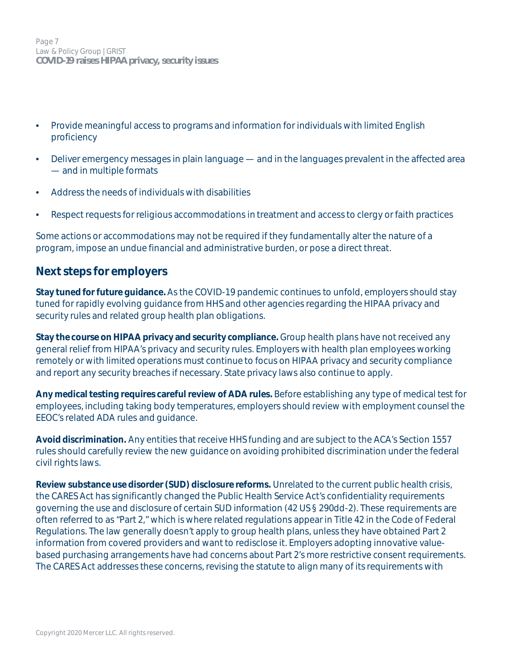Page 7 Law & Policy Group | GRIST **COVID-19 raises HIPAA privacy, security issues**

- Provide meaningful access to programs and information for individuals with limited English proficiency
- Deliver emergency messages in plain language and in the languages prevalent in the affected area — and in multiple formats
- Address the needs of individuals with disabilities
- Respect requests for religious accommodations in treatment and access to clergy or faith practices

Some actions or accommodations may not be required if they fundamentally alter the nature of a program, impose an undue financial and administrative burden, or pose a direct threat.

# <span id="page-6-0"></span>**Next steps for employers**

**Stay tuned for future guidance.**As the COVID-19 pandemic continues to unfold, employers should stay tuned for rapidly evolving guidance from HHS and other agencies regarding the HIPAA privacy and security rules and related group health plan obligations.

**Stay the course on HIPAA privacy and security compliance.** Group health plans have not received any general relief from HIPAA's privacy and security rules. Employers with health plan employees working remotely or with limited operations must continue to focus on HIPAA privacy and security compliance and report any security breaches if necessary. State privacy laws also continue to apply.

**Any medical testing requires careful review of ADA rules.** Before establishing any type of medical test for employees, including taking body temperatures, employers should review with employment counsel the EEOC's related ADA rules and guidance.

**Avoid discrimination.** Any entities that receive HHS funding and are subject to the ACA's Section 1557 rules should carefully review the new guidance on avoiding prohibited discrimination under the federal civil rights laws.

**Review substance use disorder (SUD) disclosure reforms.** Unrelated to the current public health crisis, the CARES Act has significantly changed the Public Health Service Act's confidentiality requirements governing the use and disclosure of certain SUD information (42 US § 290dd-2). These requirements are often referred to as "Part 2," which is where related regulations appear in Title 42 in the Code of Federal Regulations. The law generally doesn't apply to group health plans, unless they have obtained Part 2 information from covered providers and want to redisclose it. Employers adopting innovative valuebased purchasing arrangements have had concerns about Part 2's more restrictive consent requirements. The CARES Act addresses these concerns, revising the statute to align many of its requirements with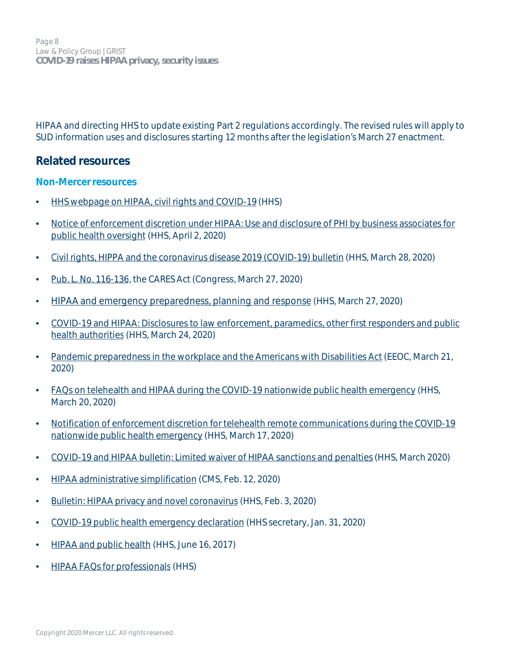HIPAA and directing HHS to update existing Part 2 regulations accordingly. The revised rules will apply to SUD information uses and disclosures starting 12 months after the legislation's March 27 enactment.

# <span id="page-7-0"></span>**Related resources**

#### **Non-Mercer resources**

- [HHS webpage on HIPAA, civil rights and COVID-19](https://www.hhs.gov/hipaa/for-professionals/special-topics/hipaa-covid19/index.html) (HHS)
- [Notice of enforcement discretion under HIPAA: Use and disclosure of PHI by business associates for](https://www.hhs.gov/sites/default/files/notification-enforcement-discretion-hipaa.pdf) [public health oversight](https://www.hhs.gov/sites/default/files/notification-enforcement-discretion-hipaa.pdf) (HHS, April 2, 2020)
- [Civil rights, HIPPA and the coronavirus disease 2019 \(COVID-19\) bulletin](https://www.hhs.gov/sites/default/files/ocr-bulletin-3-28-20.pdf) (HHS, March 28, 2020)
- [Pub. L. No. 116-136](https://www.congress.gov/116/bills/hr748/BILLS-116hr748eas.pdf), the CARES Act (Congress, March 27, 2020)
- [HIPAA and emergency preparedness, planning and response](https://www.hhs.gov/hipaa/for-professionals/special-topics/emergency-preparedness/index.html) (HHS, March 27, 2020)
- [COVID-19 and HIPAA: Disclosures to law enforcement, paramedics, other first responders and public](https://www.hhs.gov/sites/default/files/covid-19-hipaa-and-first-responders-508.pdf) [health authorities](https://www.hhs.gov/sites/default/files/covid-19-hipaa-and-first-responders-508.pdf) (HHS, March 24, 2020)
- [Pandemic preparedness in the workplace and the Americans with Disabilities Act](https://www.eeoc.gov/facts/pandemic_flu.html#q6) (EEOC, March 21, 2020)
- [FAQs on telehealth and HIPAA during the COVID-19 nationwide public health emergency](https://www.hhs.gov/sites/default/files/telehealth-faqs-508.pdf) (HHS, March 20, 2020)
- [Notification of enforcement discretion for telehealth remote communications during the COVID-19](https://www.hhs.gov/hipaa/for-professionals/special-topics/emergency-preparedness/notification-enforcement-discretion-telehealth/index.html) [nationwide public health emergency](https://www.hhs.gov/hipaa/for-professionals/special-topics/emergency-preparedness/notification-enforcement-discretion-telehealth/index.html) (HHS, March 17, 2020)
- [COVID-19 and HIPAA bulletin:](https://www.hhs.gov/sites/default/files/hipaa-and-covid-19-limited-hipaa-waiver-bulletin-508.pdf) Limited waiver of HIPAA sanctions and penalties (HHS, March 2020)
- [HIPAA administrative simplification](https://www.cms.gov/Regulations-and-Guidance/Administrative-Simplification/HIPAA-ACA/index.html) (CMS, Feb. 12, 2020)
- [Bulletin: HIPAA privacy and novel coronavirus](https://list.nih.gov/cgi-bin/wa.exe?A3=ind2002&L=OCR-PRIVACY-LIST&E=quoted-printable&P=26304&B=--_000_MN2PR09MB5273A50684C625B2F8659797E5000MN2PR09MB5273namp_&T=text%2Fhtml;%20charset=iso-8859-1&XSS=3&header=1) (HHS, Feb. 3, 2020)
- [COVID-19 public health emergency declaration](https://www.phe.gov/emergency/news/healthactions/phe/Pages/2019-nCoV.aspx) (HHS secretary, Jan. 31, 2020)
- [HIPAA and public health](https://www.hhs.gov/hipaa/for-professionals/special-topics/public-health/index.html) (HHS, June 16, 2017)
- [HIPAA FAQs for professionals](http://www.hhs.gov/ocr/privacy/hipaa/faq/index.html) (HHS)